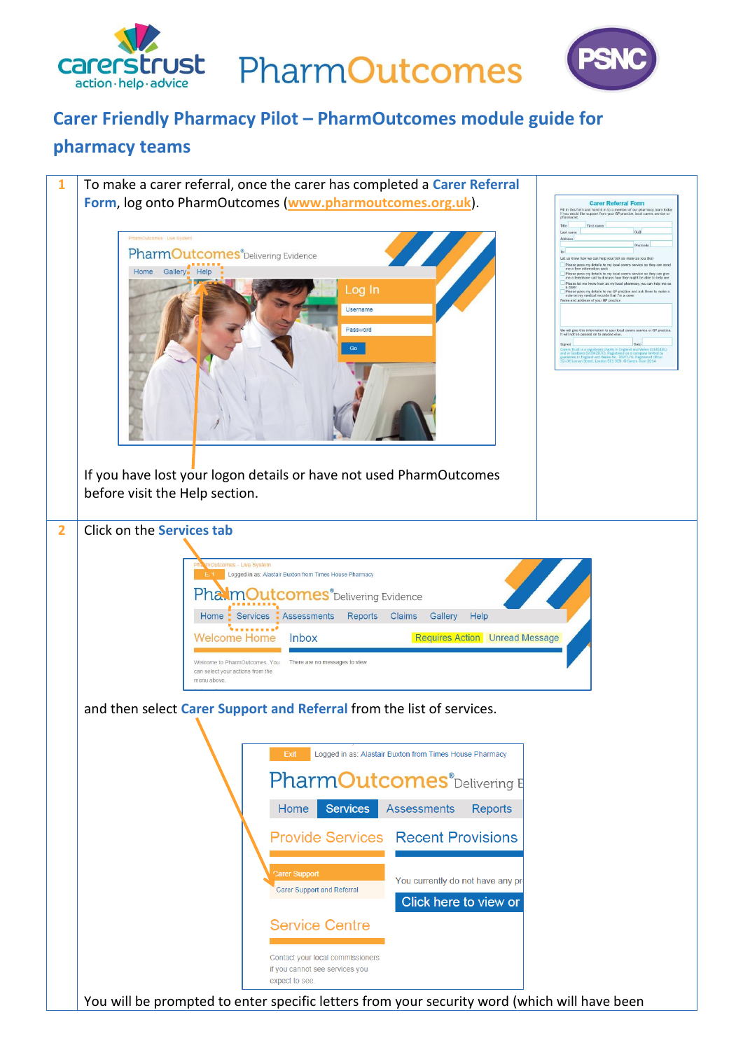



## **Carer Friendly Pharmacy Pilot – PharmOutcomes module guide for**

## **pharmacy teams**